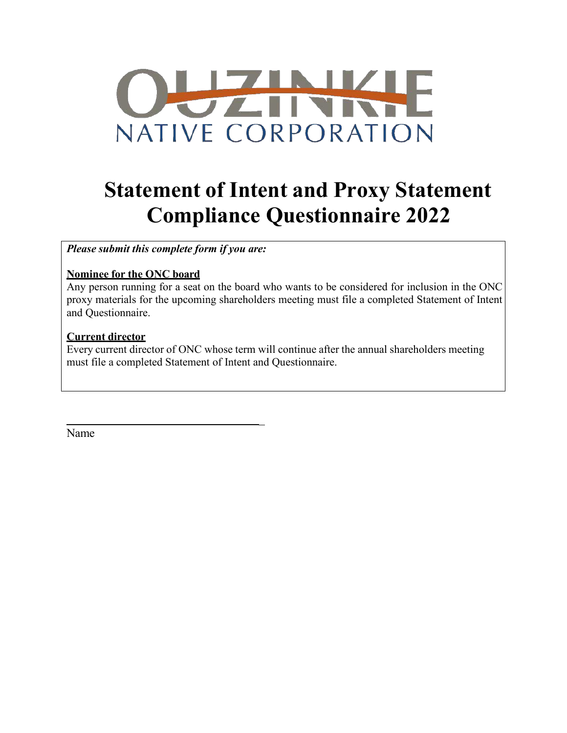

# **Statement of Intent and Proxy Statement Compliance Questionnaire 2022**

*Please submit this complete form if you are:*

### **Nominee for the ONC board**

Any person running for a seat on the board who wants to be considered for inclusion in the ONC proxy materials for the upcoming shareholders meeting must file a completed Statement of Intent and Questionnaire.

### **Current director**

Every current director of ONC whose term will continue after the annual shareholders meeting must file a completed Statement of Intent and Questionnaire.

 $\mathbb{Z}^2$ 

Name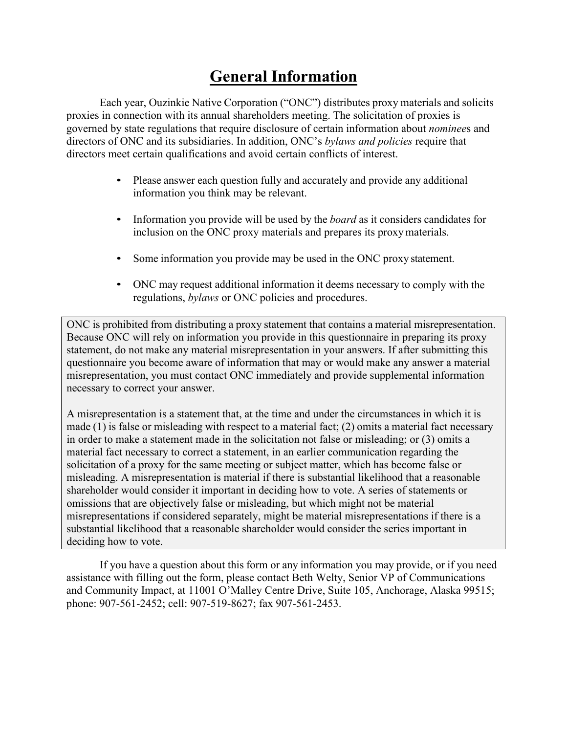## **General Information**

Each year, Ouzinkie Native Corporation ("ONC") distributes proxy materials and solicits proxies in connection with its annual shareholders meeting. The solicitation of proxies is governed by state regulations that require disclosure of certain information about *nominee*s and directors of ONC and its subsidiaries. In addition, ONC's *bylaws and policies* require that directors meet certain qualifications and avoid certain conflicts of interest.

- Please answer each question fully and accurately and provide any additional information you think may be relevant.
- Information you provide will be used by the *board* as it considers candidates for inclusion on the ONC proxy materials and prepares its proxy materials.
- Some information you provide may be used in the ONC proxy statement.
- ONC may request additional information it deems necessary to comply with the regulations, *bylaws* or ONC policies and procedures.

ONC is prohibited from distributing a proxy statement that contains a material misrepresentation. Because ONC will rely on information you provide in this questionnaire in preparing its proxy statement, do not make any material misrepresentation in your answers. If after submitting this questionnaire you become aware of information that may or would make any answer a material misrepresentation, you must contact ONC immediately and provide supplemental information necessary to correct your answer.

A misrepresentation is a statement that, at the time and under the circumstances in which it is made (1) is false or misleading with respect to a material fact; (2) omits a material fact necessary in order to make a statement made in the solicitation not false or misleading; or (3) omits a material fact necessary to correct a statement, in an earlier communication regarding the solicitation of a proxy for the same meeting or subject matter, which has become false or misleading. A misrepresentation is material if there is substantial likelihood that a reasonable shareholder would consider it important in deciding how to vote. A series of statements or omissions that are objectively false or misleading, but which might not be material misrepresentations if considered separately, might be material misrepresentations if there is a substantial likelihood that a reasonable shareholder would consider the series important in deciding how to vote.

If you have a question about this form or any information you may provide, or if you need assistance with filling out the form, please contact Beth Welty, Senior VP of Communications and Community Impact, at 11001 O'Malley Centre Drive, Suite 105, Anchorage, Alaska 99515; phone: 907-561-2452; cell: 907-519-8627; fax 907-561-2453.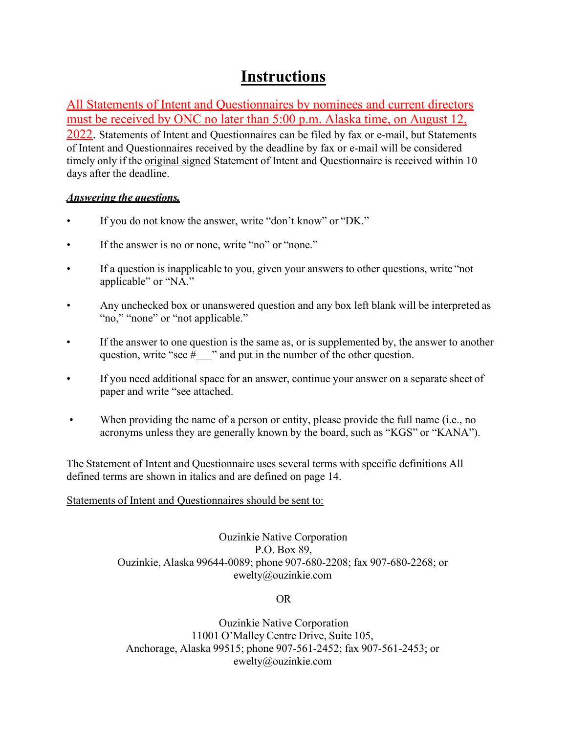## **Instructions**

All Statements of Intent and Questionnaires by nominees and current directors must be received by ONC no later than 5:00 p.m. Alaska time, on August 12,

2022. Statements of Intent and Questionnaires can be filed by fax or e-mail, but Statements of Intent and Questionnaires received by the deadline by fax or e-mail will be considered timely only if the original signed Statement of Intent and Questionnaire is received within 10 days after the deadline.

### *Answering the questions.*

- If you do not know the answer, write "don't know" or "DK."
- If the answer is no or none, write "no" or "none."
- If a question is inapplicable to you, given your answers to other questions, write "not applicable" or "NA."
- Any unchecked box or unanswered question and any box left blank will be interpreted as "no," "none" or "not applicable."
- If the answer to one question is the same as, or is supplemented by, the answer to another question, write "see  $#$  " and put in the number of the other question.
- If you need additional space for an answer, continue your answer on a separate sheet of paper and write "see attached.
- When providing the name of a person or entity, please provide the full name (i.e., no acronyms unless they are generally known by the board, such as "KGS" or "KANA").

The Statement of Intent and Questionnaire uses several terms with specific definitions All defined terms are shown in italics and are defined on page 14.

### Statements of Intent and Questionnaires should be sent to:

Ouzinkie Native Corporation P.O. Box 89, Ouzinkie, Alaska 99644-0089; phone 907-680-2208; fax 907-680-2268; or [ewelty@ouzinkie.com](mailto:ewelty@ouzinkie.com)

OR

Ouzinkie Native Corporation 11001 O'Malley Centre Drive, Suite 105, Anchorage, Alaska 99515; phone 907-561-2452; fax 907-561-2453; or [ewelty@ouzinkie.com](mailto:ewelty@ouzinkie.com)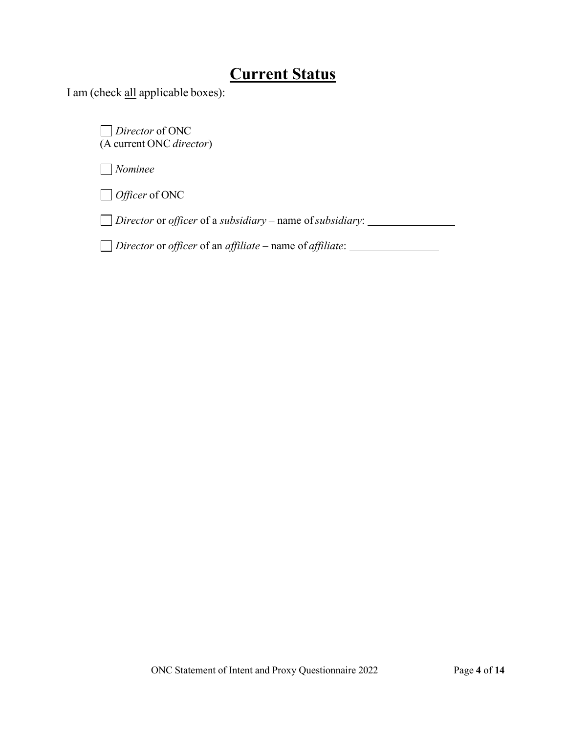## **Current Status**

I am (check all applicable boxes):

*Director* of ONC (A current ONC *director*)

*Nominee*

*Officer* of ONC

*Director* or *officer* of a *subsidiary* – name of*subsidiary*:

*Director* or *officer* of an *affiliate* – name of *affiliate*: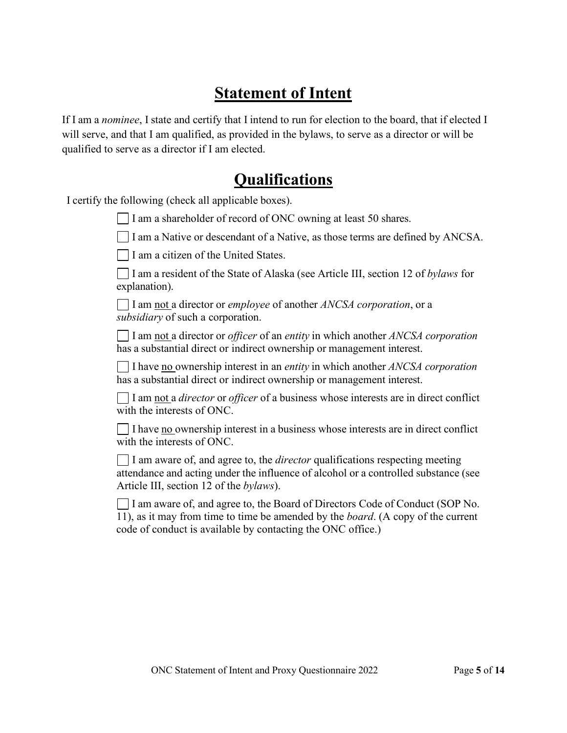## **Statement of Intent**

If I am a *nominee*, I state and certify that I intend to run for election to the board, that if elected I will serve, and that I am qualified, as provided in the bylaws, to serve as a director or will be qualified to serve as a director if I am elected.

### **Qualifications**

I certify the following (check all applicable boxes).

I am a shareholder of record of ONC owning at least 50 shares.

 $\vert$  I am a Native or descendant of a Native, as those terms are defined by ANCSA.

 $\Box$  I am a citizen of the United States.

I am a resident of the State of Alaska (see Article III, section 12 of *bylaws* for explanation).

I am not a director or *employee* of another *ANCSA corporation*, or a *subsidiary* of such a corporation.

I am not a director or *officer* of an *entity* in which another *ANCSA corporation* has a substantial direct or indirect ownership or management interest.

I have no ownership interest in an *entity* in which another *ANCSA corporation* has a substantial direct or indirect ownership or management interest.

I am not a *director* or *officer* of a business whose interests are in direct conflict with the interests of ONC.

 $\Box$  I have no ownership interest in a business whose interests are in direct conflict with the interests of ONC.

I am aware of, and agree to, the *director* qualifications respecting meeting attendance and acting under the influence of alcohol or a controlled substance (see Article III, section 12 of the *bylaws*).

I am aware of, and agree to, the Board of Directors Code of Conduct (SOP No. 11), as it may from time to time be amended by the *board*. (A copy of the current code of conduct is available by contacting the ONC office.)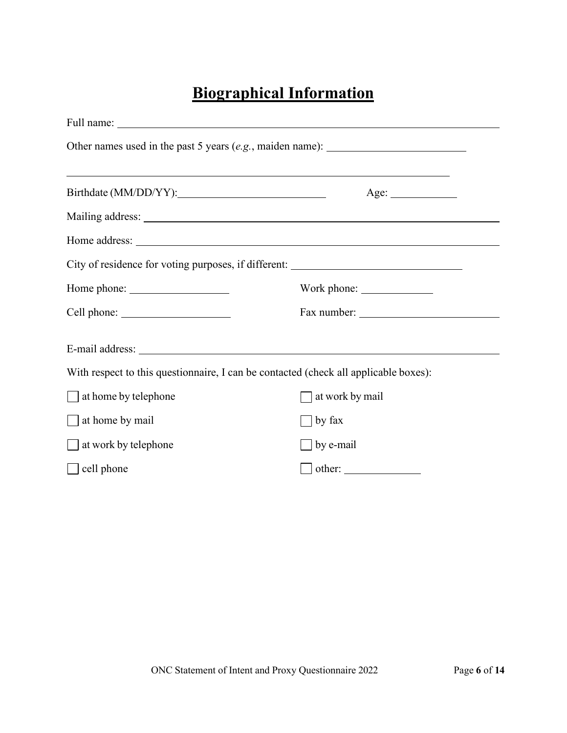## **Biographical Information**

| ,我们也不会有什么。""我们的人,我们也不会有什么?""我们的人,我们也不会有什么?""我们的人,我们也不会有什么?""我们的人,我们也不会有什么?""我们的人<br>Age: |  |  |  |  |  |
|------------------------------------------------------------------------------------------|--|--|--|--|--|
|                                                                                          |  |  |  |  |  |
|                                                                                          |  |  |  |  |  |
| City of residence for voting purposes, if different: ____________________________        |  |  |  |  |  |
|                                                                                          |  |  |  |  |  |
|                                                                                          |  |  |  |  |  |
|                                                                                          |  |  |  |  |  |
| With respect to this questionnaire, I can be contacted (check all applicable boxes):     |  |  |  |  |  |
| at work by mail                                                                          |  |  |  |  |  |
| by fax                                                                                   |  |  |  |  |  |
| by e-mail                                                                                |  |  |  |  |  |
|                                                                                          |  |  |  |  |  |
|                                                                                          |  |  |  |  |  |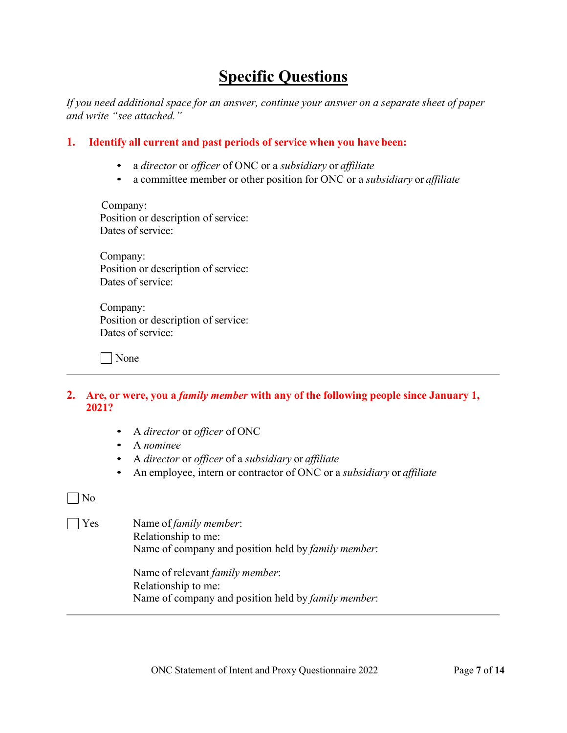## **Specific Questions**

*If you need additional space for an answer, continue your answer on a separate sheet of paper and write "see attached."* 

### **1. Identify all current and past periods of service when you have been:**

- a *director* or *officer* of ONC or a *subsidiary* or *affiliate*
- a committee member or other position for ONC or a *subsidiary* or *affiliate*

Company: Position or description of service: Dates of service:

Company: Position or description of service: Dates of service:

Company: Position or description of service: Dates of service:

| | None

- **2. Are, or were, you a** *family member* **with any of the following people since January 1, 2021?**
	- A *director* or *officer* of ONC
	- A *nominee*
	- A *director* or *officer* of a *subsidiary* or *affiliate*
	- An employee, intern or contractor of ONC or a *subsidiary* or *affiliate*

### No

Yes Name of *family member*: Relationship to me: Name of company and position held by *family member*:

> Name of relevant *family member*: Relationship to me: Name of company and position held by *family member*: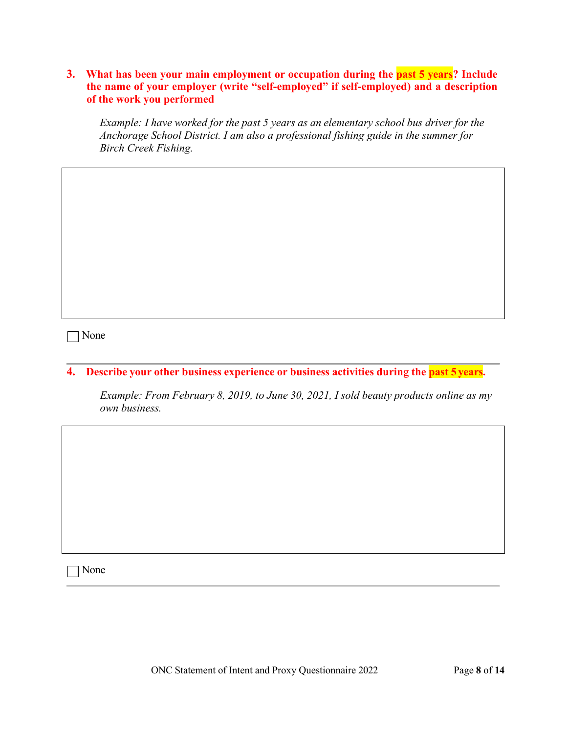**3. What has been your main employment or occupation during the past 5 years? Include the name of your employer (write "self-employed" if self-employed) and a description of the work you performed**

*Example: I have worked for the past 5 years as an elementary school bus driver for the Anchorage School District. I am also a professional fishing guide in the summer for Birch Creek Fishing.*

None

**4. Describe your other business experience or business activities during the past 5 years.**

*Example: From February 8, 2019, to June 30, 2021, I sold beauty products online as my own business.* 

None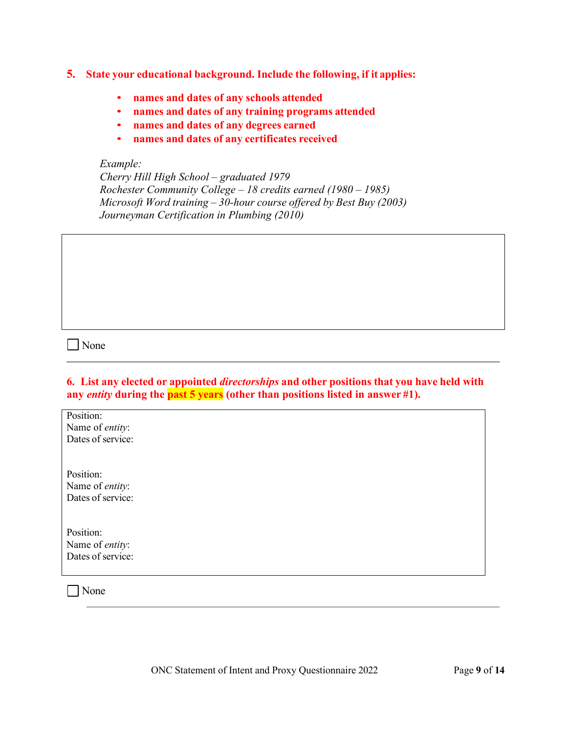- **5. State your educational background. Include the following, if it applies:**
	- **names and dates of any schools attended**
	- **names and dates of any training programs attended**
	- **names and dates of any degrees earned**
	- **names and dates of any certificates received**

#### *Example:*

*Cherry Hill High School – graduated 1979 Rochester Community College – 18 credits earned (1980 – 1985) Microsoft Word training – 30-hour course offered by Best Buy (2003) Journeyman Certification in Plumbing (2010)* 

None

|  |  |  |  | 6. List any elected or appointed <i>directorships</i> and other positions that you have held with |  |
|--|--|--|--|---------------------------------------------------------------------------------------------------|--|
|  |  |  |  | any <i>entity</i> during the past $5$ years (other than positions listed in answer #1).           |  |

| Position:               |
|-------------------------|
| Name of entity:         |
| Dates of service:       |
|                         |
|                         |
| Position:               |
| Name of entity:         |
| Dates of service:       |
|                         |
|                         |
| Position:               |
| Name of <i>entity</i> : |
| Dates of service:       |
|                         |
| None                    |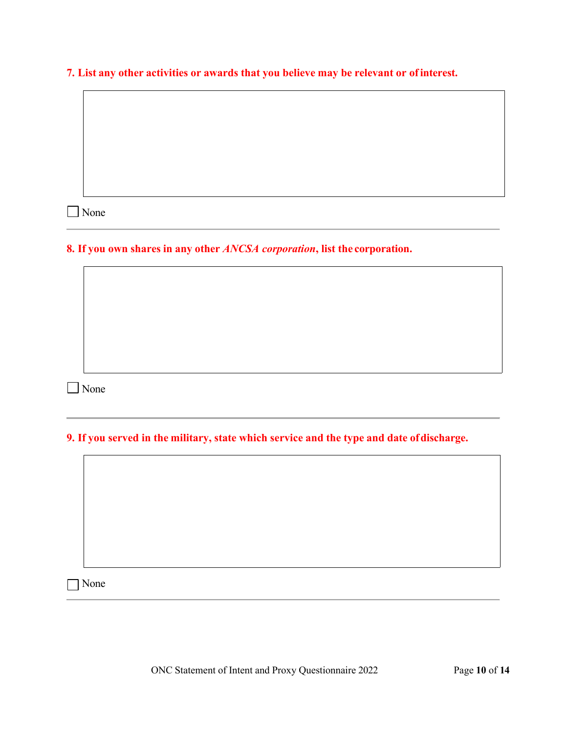**7. List any other activities or awards that you believe may be relevant or ofinterest.**

■ None

**8. If you own shares in any other** *ANCSA corporation***, list the corporation.**

■ None

**9. If you served in the military, state which service and the type and date ofdischarge.**

None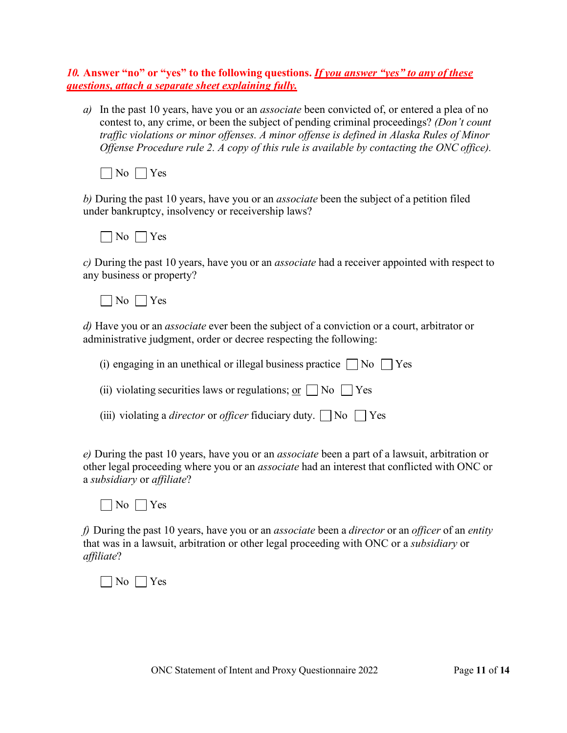### *10.* **Answer "no" or "yes" to the following questions.** *If you answer "yes" to any of these questions, attach a separate sheet explaining fully.*

*a)* In the past 10 years, have you or an *associate* been convicted of, or entered a plea of no contest to, any crime, or been the subject of pending criminal proceedings? *(Don't count traffic violations or minor offenses. A minor offense is defined in Alaska Rules of Minor Offense Procedure rule 2. A copy of this rule is available by contacting the ONC office).*



*b)* During the past 10 years, have you or an *associate* been the subject of a petition filed under bankruptcy, insolvency or receivership laws?



*c)* During the past 10 years, have you or an *associate* had a receiver appointed with respect to any business or property?

 $\Box$  No  $\Box$  Yes

*d)* Have you or an *associate* ever been the subject of a conviction or a court, arbitrator or administrative judgment, order or decree respecting the following:

| (i) engaging in an unethical or illegal business practice $\Box$ No $\Box$ Yes           |
|------------------------------------------------------------------------------------------|
| (ii) violating securities laws or regulations; or $\Box$ No $\Box$ Yes                   |
| (iii) violating a <i>director</i> or <i>officer</i> fiduciary duty. $\Box$ No $\Box$ Yes |

*e)* During the past 10 years, have you or an *associate* been a part of a lawsuit, arbitration or other legal proceeding where you or an *associate* had an interest that conflicted with ONC or a *subsidiary* or *affiliate*?



*f)* During the past 10 years, have you or an *associate* been a *director* or an *officer* of an *entity*  that was in a lawsuit, arbitration or other legal proceeding with ONC or a *subsidiary* or *affiliate*?

 $\Box$  No  $\Box$  Yes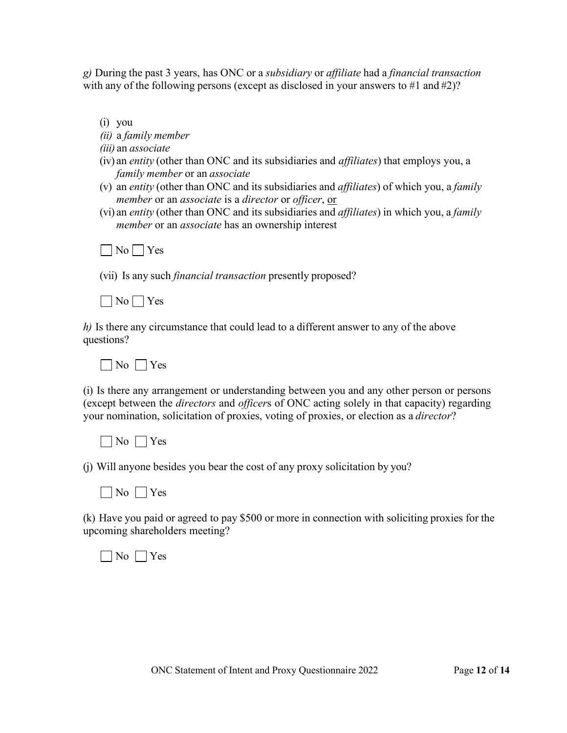*g)* During the past 3 years, has ONC or a *subsidiary* or *affiliate* had a *financial transaction* with any of the following persons (except as disclosed in your answers to #1 and #2)?

- (i) you
- *(ii)* a *family member*
- *(iii)* an *associate*
- (iv) an *entity* (other than ONC and its subsidiaries and *affiliates*) that employs you, a *family member* or an *associate*
- (v) an *entity* (other than ONC and its subsidiaries and *affiliates*) of which you, a *family member* or an *associate* is a *director* or *officer*, or
- (vi) an *entity* (other than ONC and its subsidiaries and *affiliates*) in which you, a *family member* or an *associate* has an ownership interest

 $\Box$  No  $\Box$  Yes

(vii) Is any such *financial transaction* presently proposed?

 $\Box$  No  $\Box$  Yes

*h)* Is there any circumstance that could lead to a different answer to any of the above questions?

 $\neg$  No  $\neg$  Yes

(i) Is there any arrangement or understanding between you and any other person or persons (except between the *directors* and *officer*s of ONC acting solely in that capacity) regarding your nomination, solicitation of proxies, voting of proxies, or election as a *director*?

 $\Box$  No  $\Box$  Yes

(j) Will anyone besides you bear the cost of any proxy solicitation by you?

 $\neg$  No  $\neg$  Yes

(k) Have you paid or agreed to pay \$500 or more in connection with soliciting proxies for the upcoming shareholders meeting?

 $\neg$  No  $\neg$  Yes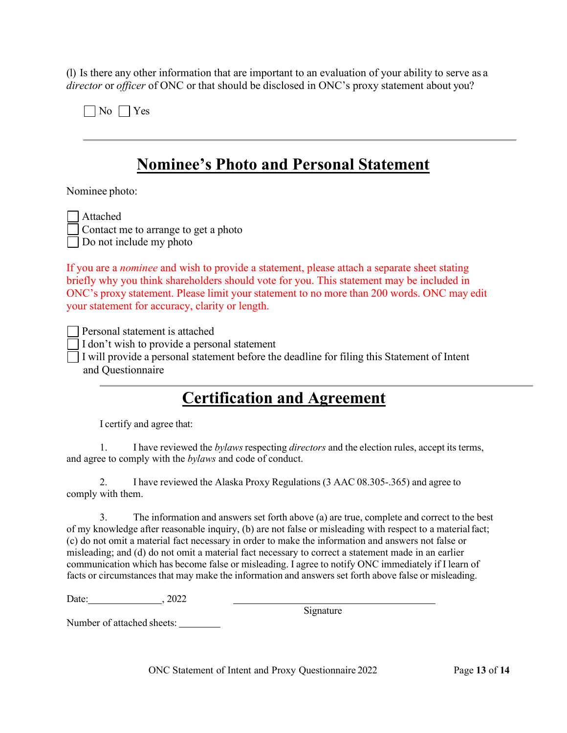(l) Is there any other information that are important to an evaluation of your ability to serve as a *director* or *officer* of ONC or that should be disclosed in ONC's proxy statement about you?

 $\Box$  No  $\Box$  Yes

## **Nominee's Photo and Personal Statement**

Nominee photo:

ttached

ontact me to arrange to get a photo

Do not include my photo

If you are a *nominee* and wish to provide a statement, please attach a separate sheet stating briefly why you think shareholders should vote for you. This statement may be included in ONC's proxy statement. Please limit your statement to no more than 200 words. ONC may edit your statement for accuracy, clarity or length.

Personal statement is attached

I don't wish to provide a personal statement

I will provide a personal statement before the deadline for filing this Statement of Intent and Questionnaire

## **Certification and Agreement**

I certify and agree that:

1. I have reviewed the *bylaws* respecting *directors* and the election rules, accept its terms, and agree to comply with the *bylaws* and code of conduct.

2. I have reviewed the Alaska Proxy Regulations (3 AAC 08.305-.365) and agree to comply with them.

3. The information and answers set forth above (a) are true, complete and correct to the best of my knowledge after reasonable inquiry, (b) are not false or misleading with respect to a materialfact; (c) do not omit a material fact necessary in order to make the information and answers not false or misleading; and (d) do not omit a material fact necessary to correct a statement made in an earlier communication which has become false or misleading. I agree to notify ONC immediately if I learn of facts or circumstances that may make the information and answers set forth above false or misleading.

Date: , 2022

Signature

Number of attached sheets:

ONC Statement of Intent and Proxy Questionnaire 2022 Page **13** of **14**